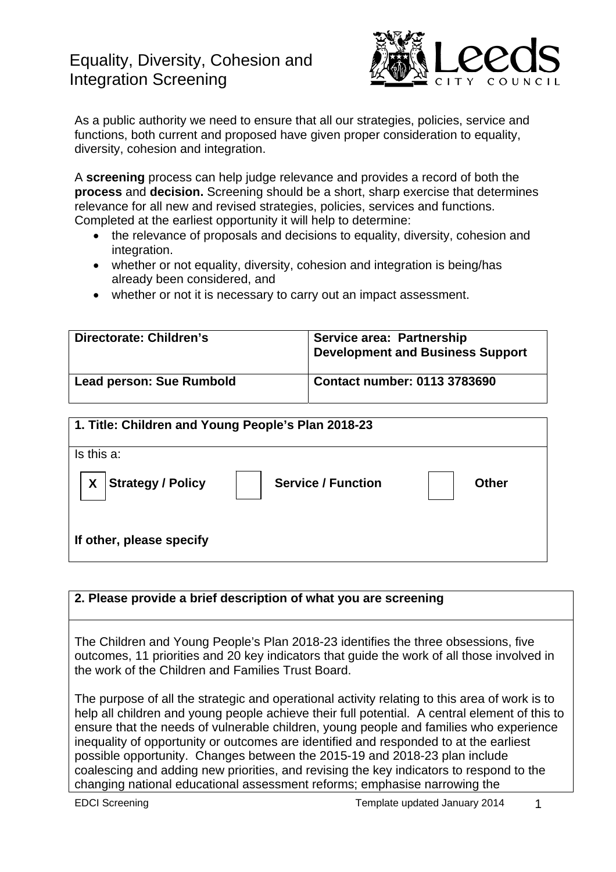# Equality, Diversity, Cohesion and Integration Screening



As a public authority we need to ensure that all our strategies, policies, service and functions, both current and proposed have given proper consideration to equality, diversity, cohesion and integration.

A **screening** process can help judge relevance and provides a record of both the **process** and **decision.** Screening should be a short, sharp exercise that determines relevance for all new and revised strategies, policies, services and functions. Completed at the earliest opportunity it will help to determine:

- the relevance of proposals and decisions to equality, diversity, cohesion and integration.
- whether or not equality, diversity, cohesion and integration is being/has already been considered, and
- whether or not it is necessary to carry out an impact assessment.

| Directorate: Children's         | Service area: Partnership<br><b>Development and Business Support</b> |
|---------------------------------|----------------------------------------------------------------------|
| <b>Lead person: Sue Rumbold</b> | Contact number: 0113 3783690                                         |

| 1. Title: Children and Young People's Plan 2018-23 |                           |              |
|----------------------------------------------------|---------------------------|--------------|
| Is this a:                                         |                           |              |
| <b>Strategy / Policy</b><br>X                      | <b>Service / Function</b> | <b>Other</b> |
| If other, please specify                           |                           |              |

### **2. Please provide a brief description of what you are screening**

The Children and Young People's Plan 2018-23 identifies the three obsessions, five outcomes, 11 priorities and 20 key indicators that guide the work of all those involved in the work of the Children and Families Trust Board.

The purpose of all the strategic and operational activity relating to this area of work is to help all children and young people achieve their full potential. A central element of this to ensure that the needs of vulnerable children, young people and families who experience inequality of opportunity or outcomes are identified and responded to at the earliest possible opportunity. Changes between the 2015-19 and 2018-23 plan include coalescing and adding new priorities, and revising the key indicators to respond to the changing national educational assessment reforms; emphasise narrowing the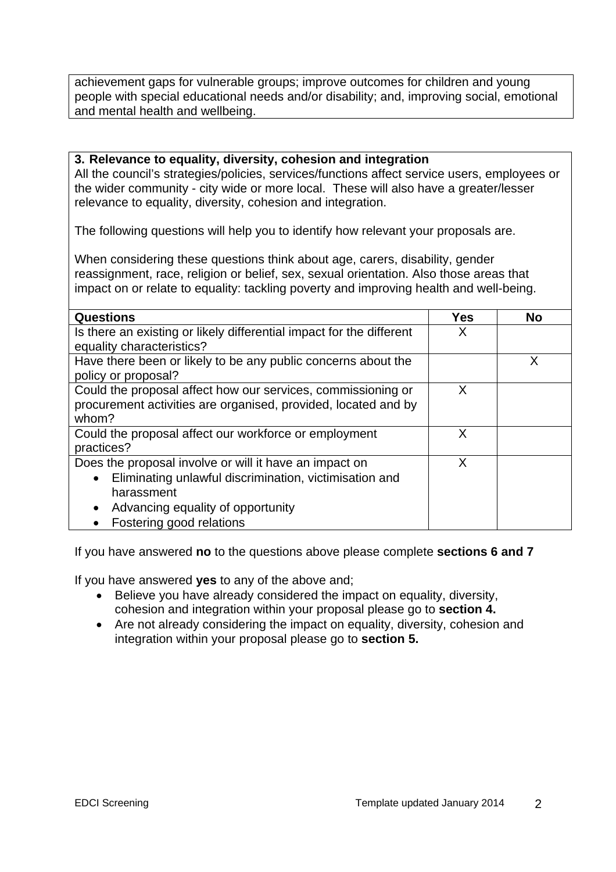achievement gaps for vulnerable groups; improve outcomes for children and young people with special educational needs and/or disability; and, improving social, emotional and mental health and wellbeing.

#### **3. Relevance to equality, diversity, cohesion and integration**

All the council's strategies/policies, services/functions affect service users, employees or the wider community - city wide or more local. These will also have a greater/lesser relevance to equality, diversity, cohesion and integration.

The following questions will help you to identify how relevant your proposals are.

When considering these questions think about age, carers, disability, gender reassignment, race, religion or belief, sex, sexual orientation. Also those areas that impact on or relate to equality: tackling poverty and improving health and well-being.

| Questions                                                            | Yes | <b>No</b> |
|----------------------------------------------------------------------|-----|-----------|
| Is there an existing or likely differential impact for the different | х   |           |
| equality characteristics?                                            |     |           |
| Have there been or likely to be any public concerns about the        |     |           |
| policy or proposal?                                                  |     |           |
| Could the proposal affect how our services, commissioning or         | X   |           |
| procurement activities are organised, provided, located and by       |     |           |
| whom?                                                                |     |           |
| Could the proposal affect our workforce or employment                | X   |           |
| practices?                                                           |     |           |
| Does the proposal involve or will it have an impact on               | Х   |           |
| Eliminating unlawful discrimination, victimisation and<br>$\bullet$  |     |           |
| harassment                                                           |     |           |
| Advancing equality of opportunity                                    |     |           |
| Fostering good relations                                             |     |           |

If you have answered **no** to the questions above please complete **sections 6 and 7**

If you have answered **yes** to any of the above and;

- Believe you have already considered the impact on equality, diversity, cohesion and integration within your proposal please go to **section 4.**
- Are not already considering the impact on equality, diversity, cohesion and integration within your proposal please go to **section 5.**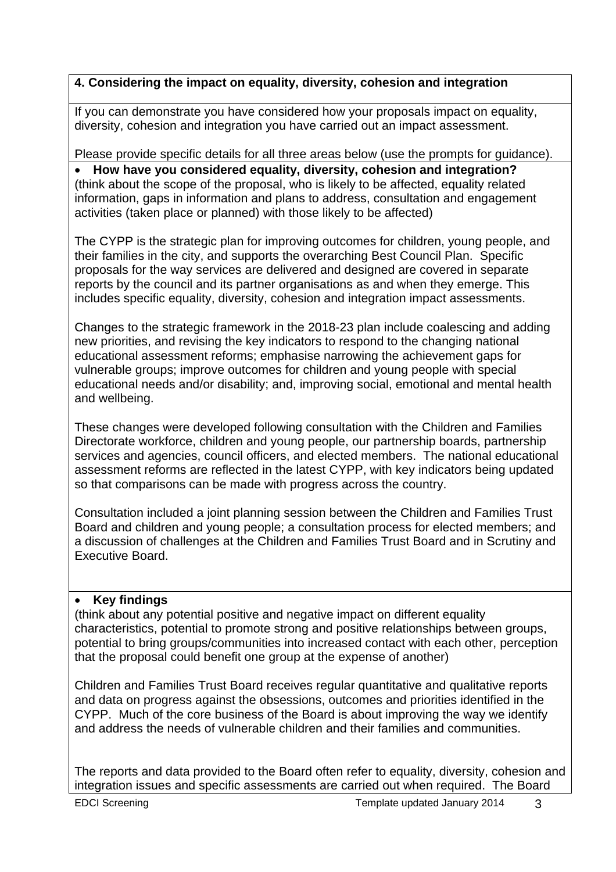## **4. Considering the impact on equality, diversity, cohesion and integration**

If you can demonstrate you have considered how your proposals impact on equality, diversity, cohesion and integration you have carried out an impact assessment.

Please provide specific details for all three areas below (use the prompts for guidance).

 **How have you considered equality, diversity, cohesion and integration?**  (think about the scope of the proposal, who is likely to be affected, equality related information, gaps in information and plans to address, consultation and engagement activities (taken place or planned) with those likely to be affected)

The CYPP is the strategic plan for improving outcomes for children, young people, and their families in the city, and supports the overarching Best Council Plan. Specific proposals for the way services are delivered and designed are covered in separate reports by the council and its partner organisations as and when they emerge. This includes specific equality, diversity, cohesion and integration impact assessments.

Changes to the strategic framework in the 2018-23 plan include coalescing and adding new priorities, and revising the key indicators to respond to the changing national educational assessment reforms; emphasise narrowing the achievement gaps for vulnerable groups; improve outcomes for children and young people with special educational needs and/or disability; and, improving social, emotional and mental health and wellbeing.

These changes were developed following consultation with the Children and Families Directorate workforce, children and young people, our partnership boards, partnership services and agencies, council officers, and elected members. The national educational assessment reforms are reflected in the latest CYPP, with key indicators being updated so that comparisons can be made with progress across the country.

Consultation included a joint planning session between the Children and Families Trust Board and children and young people; a consultation process for elected members; and a discussion of challenges at the Children and Families Trust Board and in Scrutiny and Executive Board.

### **Key findings**

(think about any potential positive and negative impact on different equality characteristics, potential to promote strong and positive relationships between groups, potential to bring groups/communities into increased contact with each other, perception that the proposal could benefit one group at the expense of another)

Children and Families Trust Board receives regular quantitative and qualitative reports and data on progress against the obsessions, outcomes and priorities identified in the CYPP. Much of the core business of the Board is about improving the way we identify and address the needs of vulnerable children and their families and communities.

The reports and data provided to the Board often refer to equality, diversity, cohesion and integration issues and specific assessments are carried out when required. The Board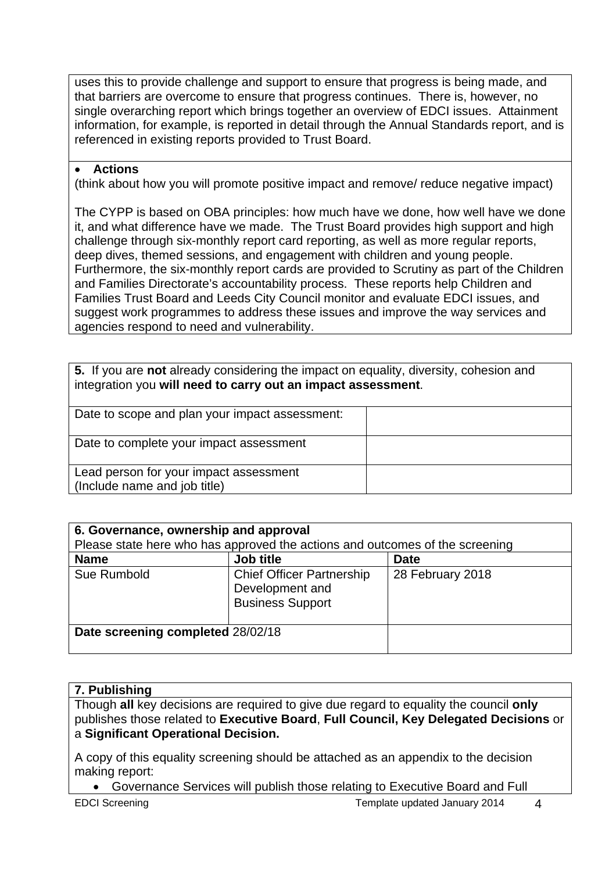uses this to provide challenge and support to ensure that progress is being made, and that barriers are overcome to ensure that progress continues. There is, however, no single overarching report which brings together an overview of EDCI issues. Attainment information, for example, is reported in detail through the Annual Standards report, and is referenced in existing reports provided to Trust Board.

#### **Actions**

(think about how you will promote positive impact and remove/ reduce negative impact)

The CYPP is based on OBA principles: how much have we done, how well have we done it, and what difference have we made. The Trust Board provides high support and high challenge through six-monthly report card reporting, as well as more regular reports, deep dives, themed sessions, and engagement with children and young people. Furthermore, the six-monthly report cards are provided to Scrutiny as part of the Children and Families Directorate's accountability process. These reports help Children and Families Trust Board and Leeds City Council monitor and evaluate EDCI issues, and suggest work programmes to address these issues and improve the way services and agencies respond to need and vulnerability.

**5.** If you are **not** already considering the impact on equality, diversity, cohesion and integration you **will need to carry out an impact assessment**.

| Date to scope and plan your impact assessment:                         |  |
|------------------------------------------------------------------------|--|
| Date to complete your impact assessment                                |  |
| Lead person for your impact assessment<br>(Include name and job title) |  |

| 6. Governance, ownership and approval<br>Please state here who has approved the actions and outcomes of the screening |                                                                                |                  |
|-----------------------------------------------------------------------------------------------------------------------|--------------------------------------------------------------------------------|------------------|
| <b>Name</b>                                                                                                           | Job title                                                                      | <b>Date</b>      |
| Sue Rumbold                                                                                                           | <b>Chief Officer Partnership</b><br>Development and<br><b>Business Support</b> | 28 February 2018 |
| Date screening completed 28/02/18                                                                                     |                                                                                |                  |

### **7. Publishing**

Though **all** key decisions are required to give due regard to equality the council **only** publishes those related to **Executive Board**, **Full Council, Key Delegated Decisions** or a **Significant Operational Decision.**

A copy of this equality screening should be attached as an appendix to the decision making report:

Governance Services will publish those relating to Executive Board and Full